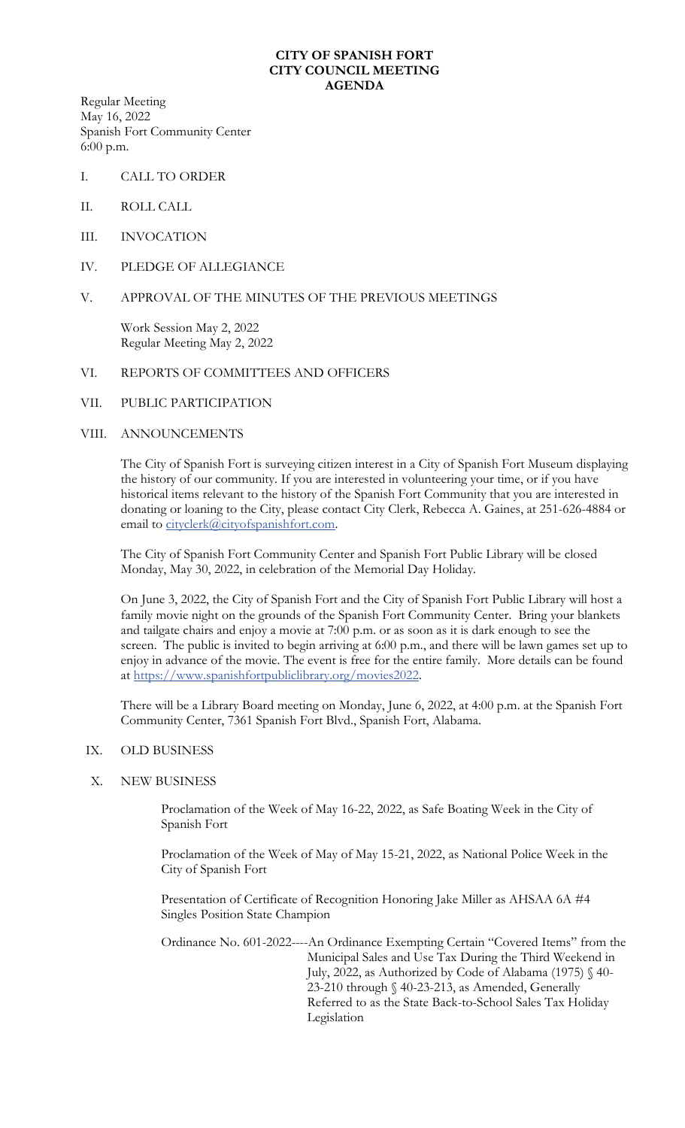### **CITY OF SPANISH FORT CITY COUNCIL MEETING AGENDA**

Regular Meeting May 16, 2022 Spanish Fort Community Center 6:00 p.m.

- I. CALL TO ORDER
- II. ROLL CALL
- III. INVOCATION
- IV. PLEDGE OF ALLEGIANCE
- V. APPROVAL OF THE MINUTES OF THE PREVIOUS MEETINGS

Work Session May 2, 2022 Regular Meeting May 2, 2022

## VI. REPORTS OF COMMITTEES AND OFFICERS

VII. PUBLIC PARTICIPATION

#### VIII. ANNOUNCEMENTS

The City of Spanish Fort is surveying citizen interest in a City of Spanish Fort Museum displaying the history of our community. If you are interested in volunteering your time, or if you have historical items relevant to the history of the Spanish Fort Community that you are interested in donating or loaning to the City, please contact City Clerk, Rebecca A. Gaines, at 251-626-4884 or email to [cityclerk@cityofspanishfort.com.](mailto:cityclerk@cityofspanishfort.com)

The City of Spanish Fort Community Center and Spanish Fort Public Library will be closed Monday, May 30, 2022, in celebration of the Memorial Day Holiday.

On June 3, 2022, the City of Spanish Fort and the City of Spanish Fort Public Library will host a family movie night on the grounds of the Spanish Fort Community Center. Bring your blankets and tailgate chairs and enjoy a movie at 7:00 p.m. or as soon as it is dark enough to see the screen. The public is invited to begin arriving at 6:00 p.m., and there will be lawn games set up to enjoy in advance of the movie. The event is free for the entire family. More details can be found at [https://www.spanishfortpubliclibrary.org/movies2022.](https://www.spanishfortpubliclibrary.org/movies2022)

There will be a Library Board meeting on Monday, June 6, 2022, at 4:00 p.m. at the Spanish Fort Community Center, 7361 Spanish Fort Blvd., Spanish Fort, Alabama.

#### IX. OLD BUSINESS

# X. NEW BUSINESS

Proclamation of the Week of May 16-22, 2022, as Safe Boating Week in the City of Spanish Fort

Proclamation of the Week of May of May 15-21, 2022, as National Police Week in the City of Spanish Fort

Presentation of Certificate of Recognition Honoring Jake Miller as AHSAA 6A #4 Singles Position State Champion

Ordinance No. 601-2022----An Ordinance Exempting Certain "Covered Items" from the Municipal Sales and Use Tax During the Third Weekend in July, 2022, as Authorized by Code of Alabama (1975) § 40- 23-210 through § 40-23-213, as Amended, Generally Referred to as the State Back-to-School Sales Tax Holiday Legislation